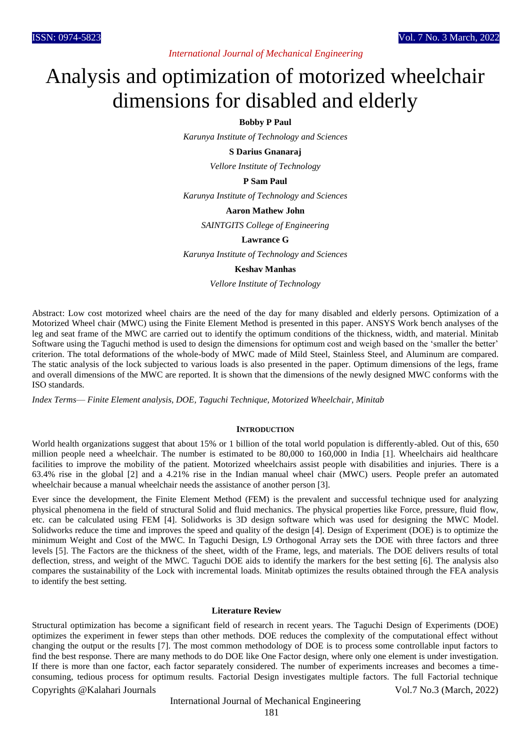*International Journal of Mechanical Engineering*

# Analysis and optimization of motorized wheelchair dimensions for disabled and elderly

# **Bobby P Paul**

*Karunya Institute of Technology and Sciences*

#### **S Darius Gnanaraj**

*Vellore Institute of Technology*

## **P Sam Paul**

*Karunya Institute of Technology and Sciences*

#### **Aaron Mathew John**

*SAINTGITS College of Engineering*

## **Lawrance G**

*Karunya Institute of Technology and Sciences*

## **Keshav Manhas**

*Vellore Institute of Technology*

Abstract: Low cost motorized wheel chairs are the need of the day for many disabled and elderly persons. Optimization of a Motorized Wheel chair (MWC) using the Finite Element Method is presented in this paper. ANSYS Work bench analyses of the leg and seat frame of the MWC are carried out to identify the optimum conditions of the thickness, width, and material. Minitab Software using the Taguchi method is used to design the dimensions for optimum cost and weigh based on the 'smaller the better' criterion. The total deformations of the whole-body of MWC made of Mild Steel, Stainless Steel, and Aluminum are compared. The static analysis of the lock subjected to various loads is also presented in the paper. Optimum dimensions of the legs, frame and overall dimensions of the MWC are reported. It is shown that the dimensions of the newly designed MWC conforms with the ISO standards.

*Index Terms*— *Finite Element analysis, DOE, Taguchi Technique, Motorized Wheelchair, Minitab*

#### **INTRODUCTION**

World health organizations suggest that about 15% or 1 billion of the total world population is differently-abled. Out of this, 650 million people need a wheelchair. The number is estimated to be 80,000 to 160,000 in India [1]. Wheelchairs aid healthcare facilities to improve the mobility of the patient. Motorized wheelchairs assist people with disabilities and injuries. There is a 63.4% rise in the global [2] and a 4.21% rise in the Indian manual wheel chair (MWC) users. People prefer an automated wheelchair because a manual wheelchair needs the assistance of another person [3].

Ever since the development, the Finite Element Method (FEM) is the prevalent and successful technique used for analyzing physical phenomena in the field of structural Solid and fluid mechanics. The physical properties like Force, pressure, fluid flow, etc. can be calculated using FEM [4]. Solidworks is 3D design software which was used for designing the MWC Model. Solidworks reduce the time and improves the speed and quality of the design [4]. Design of Experiment (DOE) is to optimize the minimum Weight and Cost of the MWC. In Taguchi Design, L9 Orthogonal Array sets the DOE with three factors and three levels [5]. The Factors are the thickness of the sheet, width of the Frame, legs, and materials. The DOE delivers results of total deflection, stress, and weight of the MWC. Taguchi DOE aids to identify the markers for the best setting [6]. The analysis also compares the sustainability of the Lock with incremental loads. Minitab optimizes the results obtained through the FEA analysis to identify the best setting.

# **Literature Review**

Structural optimization has become a significant field of research in recent years. The Taguchi Design of Experiments (DOE) optimizes the experiment in fewer steps than other methods. DOE reduces the complexity of the computational effect without changing the output or the results [7]. The most common methodology of DOE is to process some controllable input factors to find the best response. There are many methods to do DOE like One Factor design, where only one element is under investigation. If there is more than one factor, each factor separately considered. The number of experiments increases and becomes a timeconsuming, tedious process for optimum results. Factorial Design investigates multiple factors. The full Factorial technique

#### Copyrights @Kalahari Journals Vol.7 No.3 (March, 2022)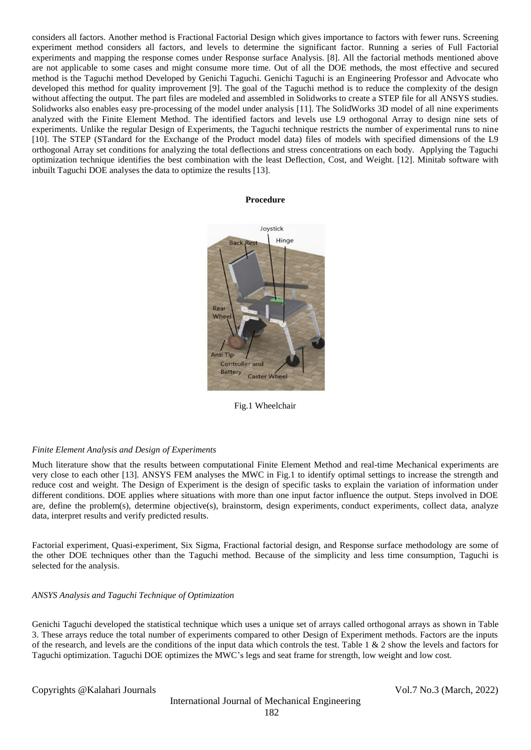considers all factors. Another method is Fractional Factorial Design which gives importance to factors with fewer runs. Screening experiment method considers all factors, and levels to determine the significant factor. Running a series of Full Factorial experiments and mapping the response comes under Response surface Analysis. [8]. All the factorial methods mentioned above are not applicable to some cases and might consume more time. Out of all the DOE methods, the most effective and secured method is the Taguchi method Developed by Genichi Taguchi. Genichi Taguchi is an Engineering Professor and Advocate who developed this method for quality improvement [9]. The goal of the Taguchi method is to reduce the complexity of the design without affecting the output. The part files are modeled and assembled in Solidworks to create a STEP file for all ANSYS studies. Solidworks also enables easy pre-processing of the model under analysis [11]. The SolidWorks 3D model of all nine experiments analyzed with the Finite Element Method. The identified factors and levels use L9 orthogonal Array to design nine sets of experiments. Unlike the regular Design of Experiments, the Taguchi technique restricts the number of experimental runs to nine [10]. The STEP (STandard for the Exchange of the Product model data) files of models with specified dimensions of the L9 orthogonal Array set conditions for analyzing the total deflections and stress concentrations on each body. Applying the Taguchi optimization technique identifies the best combination with the least Deflection, Cost, and Weight. [12]. Minitab software with inbuilt Taguchi DOE analyses the data to optimize the results [13].

#### **Procedure**



Fig.1 Wheelchair

#### *Finite Element Analysis and Design of Experiments*

Much literature show that the results between computational Finite Element Method and real-time Mechanical experiments are very close to each other [13]. ANSYS FEM analyses the MWC in Fig.1 to identify optimal settings to increase the strength and reduce cost and weight. The Design of Experiment is the design of specific tasks to explain the variation of information under different conditions. DOE applies where situations with more than one input factor influence the output. Steps involved in DOE are, define the problem(s), determine objective(s), brainstorm, design experiments, conduct experiments, collect data, analyze data, interpret results and verify predicted results.

Factorial experiment, Quasi-experiment, Six Sigma, Fractional factorial design, and Response surface methodology are some of the other DOE techniques other than the Taguchi method. Because of the simplicity and less time consumption, Taguchi is selected for the analysis.

## *ANSYS Analysis and Taguchi Technique of Optimization*

Genichi Taguchi developed the statistical technique which uses a unique set of arrays called orthogonal arrays as shown in Table 3. These arrays reduce the total number of experiments compared to other Design of Experiment methods. Factors are the inputs of the research, and levels are the conditions of the input data which controls the test. Table 1  $\&$  2 show the levels and factors for Taguchi optimization. Taguchi DOE optimizes the MWC's legs and seat frame for strength, low weight and low cost.

Copyrights @Kalahari Journals Vol.7 No.3 (March, 2022)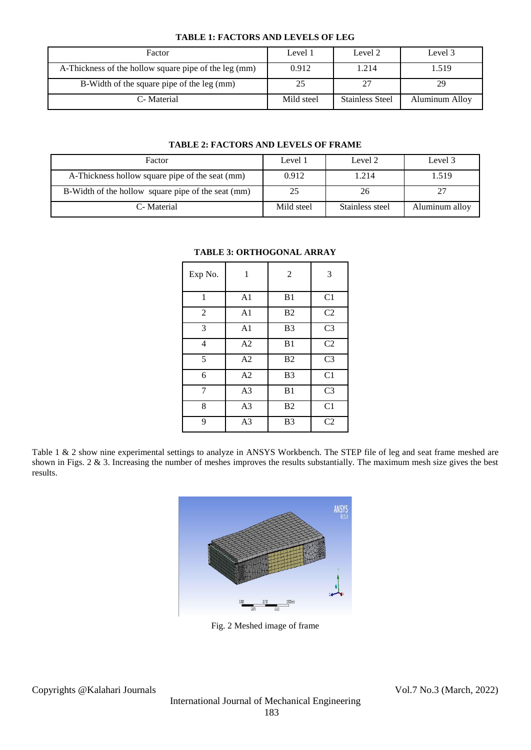# **TABLE 1: FACTORS AND LEVELS OF LEG**

| Factor                                                | Level 1    | Level 2                | Level 3        |
|-------------------------------------------------------|------------|------------------------|----------------|
| A-Thickness of the hollow square pipe of the leg (mm) | 0.912      | 1.214                  | 1.519          |
| B-Width of the square pipe of the leg (mm)            | 25         |                        | 29             |
| C-Material                                            | Mild steel | <b>Stainless Steel</b> | Aluminum Alloy |

# **TABLE 2: FACTORS AND LEVELS OF FRAME**

| Factor                                             | Level 1    | Level 2         | Level 3        |
|----------------------------------------------------|------------|-----------------|----------------|
| A-Thickness hollow square pipe of the seat (mm)    | 0.912      | 1.214           | 1.519          |
| B-Width of the hollow square pipe of the seat (mm) | 25         | 26              | 27             |
| C-Material                                         | Mild steel | Stainless steel | Aluminum alloy |

| Exp No.        | 1              | $\overline{2}$ | 3              |
|----------------|----------------|----------------|----------------|
| 1              | A <sub>1</sub> | B1             | C <sub>1</sub> |
| $\overline{2}$ | A <sub>1</sub> | B <sub>2</sub> | C <sub>2</sub> |
| 3              | A1             | B <sub>3</sub> | C <sub>3</sub> |
| $\overline{4}$ | A <sub>2</sub> | B1             | C <sub>2</sub> |
| 5              | A <sub>2</sub> | B <sub>2</sub> | C <sub>3</sub> |
| 6              | A <sub>2</sub> | B <sub>3</sub> | C1             |
| 7              | A <sub>3</sub> | B1             | C <sub>3</sub> |
| 8              | A <sub>3</sub> | B <sub>2</sub> | C1             |
| 9              | A <sub>3</sub> | B <sub>3</sub> | C <sub>2</sub> |

# **TABLE 3: ORTHOGONAL ARRAY**

Table 1 & 2 show nine experimental settings to analyze in ANSYS Workbench. The STEP file of leg and seat frame meshed are shown in Figs. 2 & 3. Increasing the number of meshes improves the results substantially. The maximum mesh size gives the best results.



Fig. 2 Meshed image of frame

Copyrights @Kalahari Journals Vol.7 No.3 (March, 2022)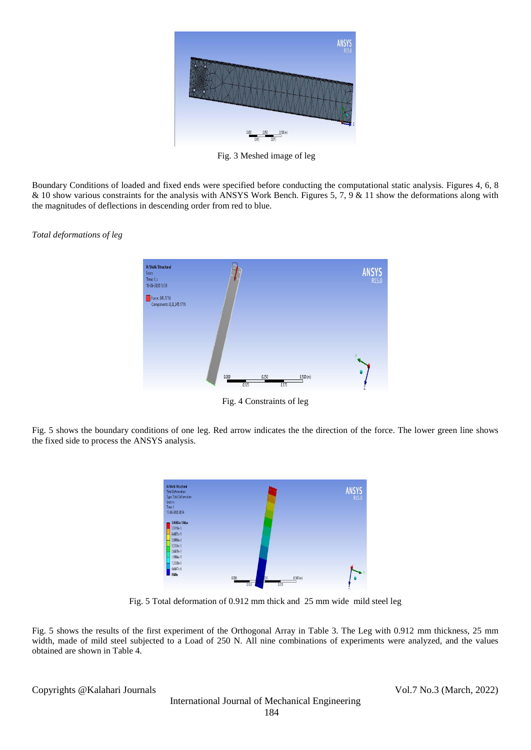

Fig. 3 Meshed image of leg

Boundary Conditions of loaded and fixed ends were specified before conducting the computational static analysis. Figures 4, 6, 8 & 10 show various constraints for the analysis with ANSYS Work Bench. Figures 5, 7, 9 & 11 show the deformations along with the magnitudes of deflections in descending order from red to blue.

*Total deformations of leg*



Fig. 4 Constraints of leg

Fig. 5 shows the boundary conditions of one leg. Red arrow indicates the the direction of the force. The lower green line shows the fixed side to process the ANSYS analysis.



Fig. 5 Total deformation of 0.912 mm thick and 25 mm wide mild steel leg

Fig. 5 shows the results of the first experiment of the Orthogonal Array in Table 3. The Leg with 0.912 mm thickness, 25 mm width, made of mild steel subjected to a Load of 250 N. All nine combinations of experiments were analyzed, and the values obtained are shown in Table 4.

Copyrights @Kalahari Journals Vol.7 No.3 (March, 2022)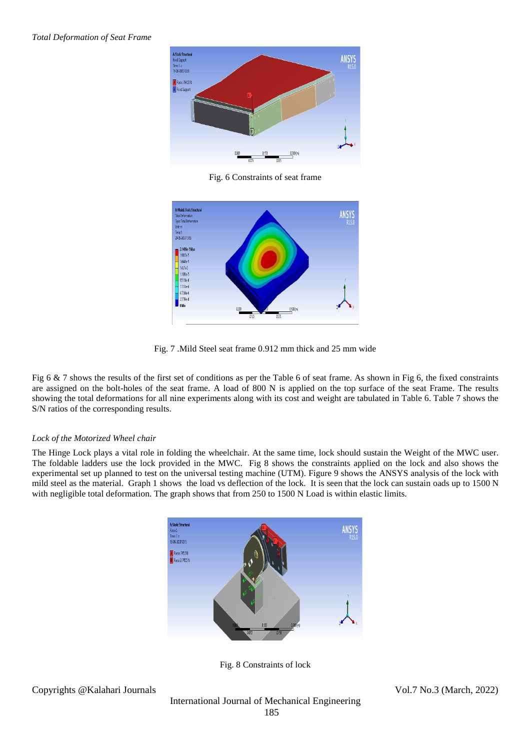

Fig. 6 Constraints of seat frame



Fig. 7 .Mild Steel seat frame 0.912 mm thick and 25 mm wide

Fig 6 & 7 shows the results of the first set of conditions as per the Table 6 of seat frame. As shown in Fig 6, the fixed constraints are assigned on the bolt-holes of the seat frame. A load of 800 N is applied on the top surface of the seat Frame. The results showing the total deformations for all nine experiments along with its cost and weight are tabulated in Table 6. Table 7 shows the S/N ratios of the corresponding results.

# *Lock of the Motorized Wheel chair*

The Hinge Lock plays a vital role in folding the wheelchair. At the same time, lock should sustain the Weight of the MWC user. The foldable ladders use the lock provided in the MWC. Fig 8 shows the constraints applied on the lock and also shows the experimental set up planned to test on the universal testing machine (UTM). Figure 9 shows the ANSYS analysis of the lock with mild steel as the material. Graph 1 shows the load vs deflection of the lock. It is seen that the lock can sustain oads up to 1500 N with negligible total deformation. The graph shows that from 250 to 1500 N Load is within elastic limits.



Fig. 8 Constraints of lock

Copyrights @Kalahari Journals Vol.7 No.3 (March, 2022)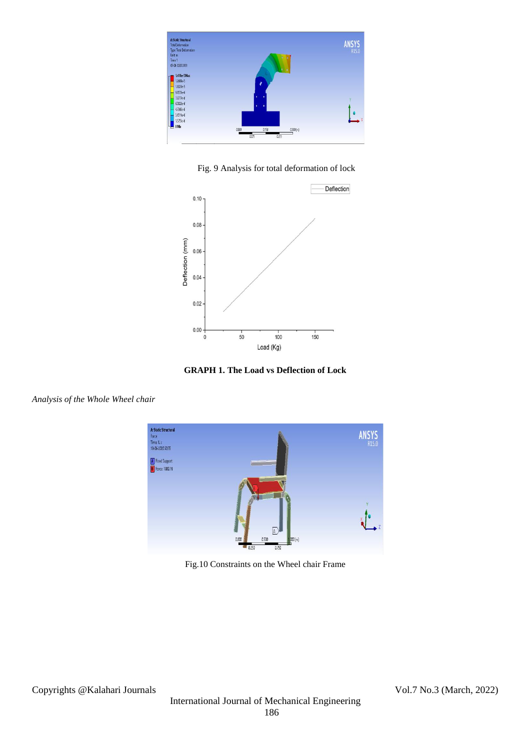

Fig. 9 Analysis for total deformation of lock



**GRAPH 1. The Load vs Deflection of Lock**

**A: Static Structura** ANSYS Force<br>Time: 1. s<br>18-06-2020 20:55 A Fixed Support Force: 1000. N  $\boxed{\mathbb{A}}$ nsor

Fig.10 Constraints on the Wheel chair Frame

*Analysis of the Whole Wheel chair*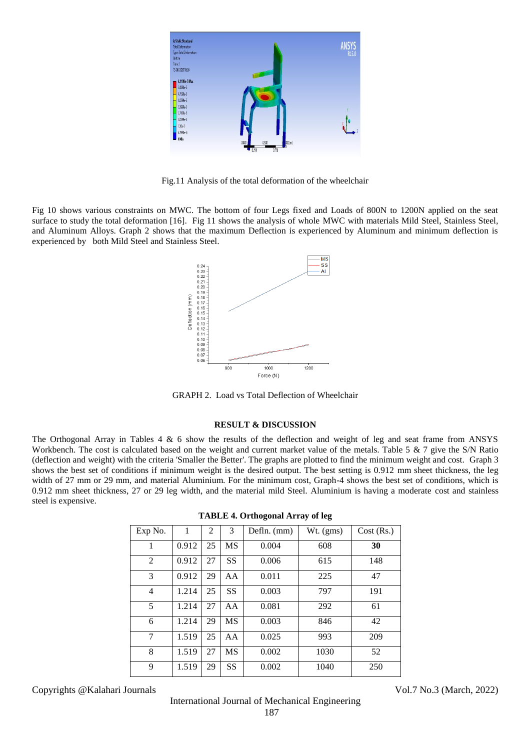

Fig.11 Analysis of the total deformation of the wheelchair

Fig 10 shows various constraints on MWC. The bottom of four Legs fixed and Loads of 800N to 1200N applied on the seat surface to study the total deformation [16]. Fig 11 shows the analysis of whole MWC with materials Mild Steel, Stainless Steel, and Aluminum Alloys. Graph 2 shows that the maximum Deflection is experienced by Aluminum and minimum deflection is experienced by both Mild Steel and Stainless Steel.



GRAPH 2. Load vs Total Deflection of Wheelchair

## **RESULT & DISCUSSION**

The Orthogonal Array in Tables 4 & 6 show the results of the deflection and weight of leg and seat frame from ANSYS Workbench. The cost is calculated based on the weight and current market value of the metals. Table 5  $\&$  7 give the S/N Ratio (deflection and weight) with the criteria 'Smaller the Better'. The graphs are plotted to find the minimum weight and cost. Graph 3 shows the best set of conditions if minimum weight is the desired output. The best setting is 0.912 mm sheet thickness, the leg width of 27 mm or 29 mm, and material Aluminium. For the minimum cost, Graph-4 shows the best set of conditions, which is 0.912 mm sheet thickness, 27 or 29 leg width, and the material mild Steel. Aluminium is having a moderate cost and stainless steel is expensive.

| Exp No.        | 1     | $\overline{2}$ | 3         | Defln. (mm) | Wt. (gms) | Cost (Rs.) |
|----------------|-------|----------------|-----------|-------------|-----------|------------|
| 1              | 0.912 | 25             | MS        | 0.004       | 608       | 30         |
| 2              | 0.912 | 27             | SS        | 0.006       | 615       | 148        |
| 3              | 0.912 | 29             | AA        | 0.011       | 225       | 47         |
| $\overline{4}$ | 1.214 | 25             | <b>SS</b> | 0.003       | 797       | 191        |
| 5              | 1.214 | 27             | AA        | 0.081       | 292       | 61         |
| 6              | 1.214 | 29             | <b>MS</b> | 0.003       | 846       | 42         |
| 7              | 1.519 | 25             | AA        | 0.025       | 993       | 209        |
| 8              | 1.519 | 27             | MS        | 0.002       | 1030      | 52         |
| 9              | 1.519 | 29             | <b>SS</b> | 0.002       | 1040      | 250        |

| <b>TABLE 4. Orthogonal Array of leg</b> |  |
|-----------------------------------------|--|
|-----------------------------------------|--|

Copyrights @Kalahari Journals Vol.7 No.3 (March, 2022)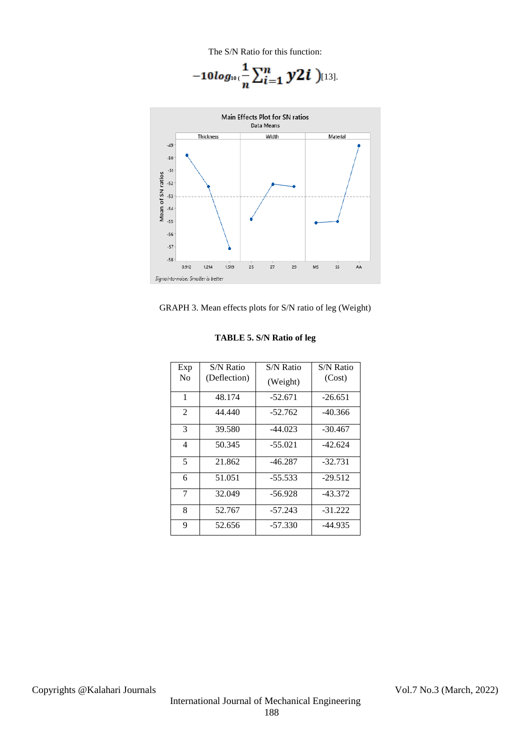The S/N Ratio for this function:

$$
-10 log_{10}(\frac{1}{n}\sum_{i=1}^{n} y2i )_{[13]}.
$$





| Exp            | <b>S/N Ratio</b> | S/N Ratio | S/N Ratio |
|----------------|------------------|-----------|-----------|
| N <sub>0</sub> | (Deflection)     | (Weight)  | (Cost)    |
| 1              | 48.174           | $-52.671$ | $-26.651$ |
| $\overline{2}$ | 44.440           | $-52.762$ | -40.366   |
| 3              | 39.580           | $-44.023$ | -30.467   |
| 4              | 50.345           | $-55.021$ | $-42.624$ |
| 5              | 21.862           | $-46.287$ | $-32.731$ |
| 6              | 51.051           | $-55.533$ | $-29.512$ |
| 7              | 32.049           | -56.928   | $-43.372$ |
| 8              | 52.767           | $-57.243$ | $-31.222$ |
| 9              | 52.656           | -57.330   | -44.935   |

# **TABLE 5. S/N Ratio of leg**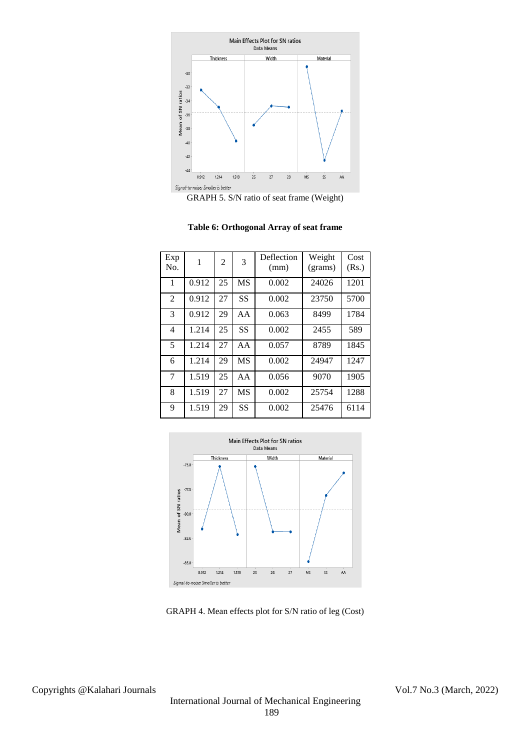



|  | Table 6: Orthogonal Array of seat frame |  |  |
|--|-----------------------------------------|--|--|
|--|-----------------------------------------|--|--|

| Exp<br>No.     | 1     | $\overline{2}$ | 3         | Deflection<br>(mm) | Weight<br>(grams) | Cost<br>(Rs.) |
|----------------|-------|----------------|-----------|--------------------|-------------------|---------------|
| 1              | 0.912 | 25             | <b>MS</b> | 0.002              | 24026             | 1201          |
| $\mathfrak{D}$ | 0.912 | 27             | <b>SS</b> | 0.002              | 23750             | 5700          |
| 3              | 0.912 | 29             | AA        | 0.063              | 8499              | 1784          |
| 4              | 1.214 | 25             | <b>SS</b> | 0.002              | 2455              | 589           |
| 5              | 1.214 | 27             | AA        | 0.057              | 8789              | 1845          |
| 6              | 1.214 | 29             | <b>MS</b> | 0.002              | 24947             | 1247          |
| 7              | 1.519 | 25             | AA        | 0.056              | 9070              | 1905          |
| 8              | 1.519 | 27             | <b>MS</b> | 0.002              | 25754             | 1288          |
| 9              | 1.519 | 29             | SS        | 0.002              | 25476             | 6114          |



GRAPH 4. Mean effects plot for S/N ratio of leg (Cost)

Copyrights @Kalahari Journals Vol.7 No.3 (March, 2022)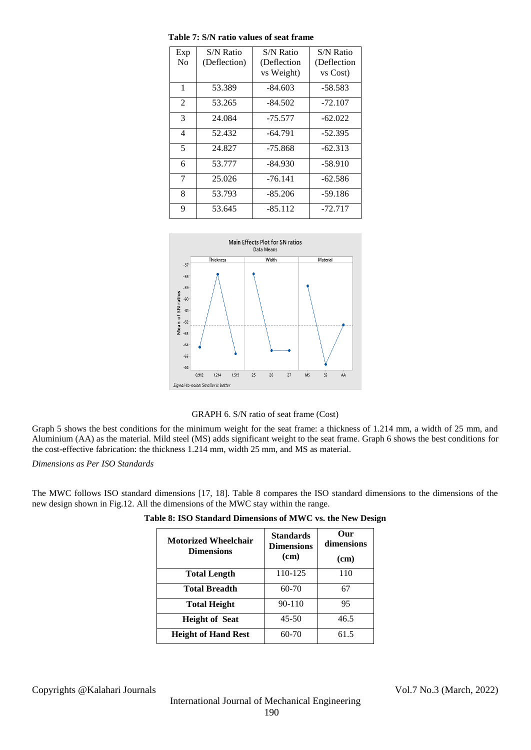| Exp            | S/N Ratio    | S/N Ratio   | S/N Ratio    |
|----------------|--------------|-------------|--------------|
| N <sub>0</sub> | (Deflection) | (Deflection | (Deflection) |
|                |              | vs Weight)  | vs Cost)     |
| 1              | 53.389       | $-84.603$   | -58.583      |
| $\overline{2}$ | 53.265       | $-84.502$   | $-72.107$    |
| 3              | 24.084       | -75.577     | $-62.022$    |
| $\overline{4}$ | 52.432       | $-64.791$   | $-52.395$    |
| 5              | 24.827       | $-75.868$   | $-62.313$    |
| 6              | 53.777       | -84.930     | $-58.910$    |
| 7              | 25.026       | $-76.141$   | $-62.586$    |
| 8              | 53.793       | $-85.206$   | $-59.186$    |
| 9              | 53.645       | $-85.112$   | $-72.717$    |

**Table 7: S/N ratio values of seat frame**





Graph 5 shows the best conditions for the minimum weight for the seat frame: a thickness of 1.214 mm, a width of 25 mm, and Aluminium (AA) as the material. Mild steel (MS) adds significant weight to the seat frame. Graph 6 shows the best conditions for the cost-effective fabrication: the thickness 1.214 mm, width 25 mm, and MS as material.

*Dimensions as Per ISO Standards*

The MWC follows ISO standard dimensions [17, 18]. Table 8 compares the ISO standard dimensions to the dimensions of the new design shown in Fig.12. All the dimensions of the MWC stay within the range.

| <b>Motorized Wheelchair</b><br><b>Dimensions</b> | <b>Standards</b><br><b>Dimensions</b><br>(cm) | Our<br>dimensions<br>(cm) |
|--------------------------------------------------|-----------------------------------------------|---------------------------|
| <b>Total Length</b>                              | 110-125                                       | 110                       |
| Total Breadth                                    | $60-70$                                       | 67                        |
| <b>Total Height</b>                              | 90-110                                        | 95                        |
| <b>Height of Seat</b>                            | $45 - 50$                                     | 46.5                      |
| <b>Height of Hand Rest</b>                       | 60-70                                         | 61.5                      |

|  | Table 8: ISO Standard Dimensions of MWC vs. the New Design |  |  |
|--|------------------------------------------------------------|--|--|
|  |                                                            |  |  |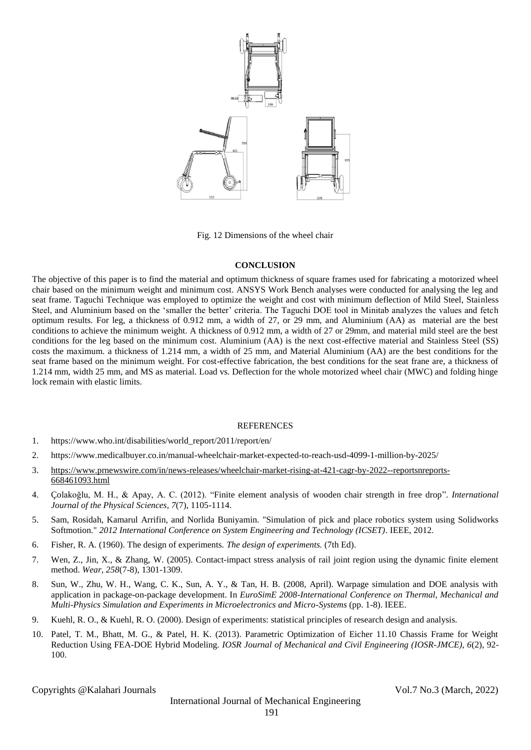

Fig. 12 Dimensions of the wheel chair

## **CONCLUSION**

The objective of this paper is to find the material and optimum thickness of square frames used for fabricating a motorized wheel chair based on the minimum weight and minimum cost. ANSYS Work Bench analyses were conducted for analysing the leg and seat frame. Taguchi Technique was employed to optimize the weight and cost with minimum deflection of Mild Steel, Stainless Steel, and Aluminium based on the 'smaller the better' criteria. The Taguchi DOE tool in Minitab analyzes the values and fetch optimum results. For leg, a thickness of 0.912 mm, a width of 27, or 29 mm, and Aluminium (AA) as material are the best conditions to achieve the minimum weight. A thickness of 0.912 mm, a width of 27 or 29mm, and material mild steel are the best conditions for the leg based on the minimum cost. Aluminium (AA) is the next cost-effective material and Stainless Steel (SS) costs the maximum. a thickness of 1.214 mm, a width of 25 mm, and Material Aluminium (AA) are the best conditions for the seat frame based on the minimum weight. For cost-effective fabrication, the best conditions for the seat frane are, a thickness of 1.214 mm, width 25 mm, and MS as material. Load vs. Deflection for the whole motorized wheel chair (MWC) and folding hinge lock remain with elastic limits.

# **REFERENCES**

- 1. https://www.who.int/disabilities/world\_report/2011/report/en/
- 2. https://www.medicalbuyer.co.in/manual-wheelchair-market-expected-to-reach-usd-4099-1-million-by-2025/
- 3. [https://www.prnewswire.com/in/news-releases/wheelchair-market-rising-at-421-cagr-by-2022--reportsnreports-](https://www.prnewswire.com/in/news-releases/wheelchair-market-rising-at-421-cagr-by-2022--reportsnreports-668461093.html)[668461093.html](https://www.prnewswire.com/in/news-releases/wheelchair-market-rising-at-421-cagr-by-2022--reportsnreports-668461093.html)
- 4. Çolakoğlu, M. H., & Apay, A. C. (2012). "Finite element analysis of wooden chair strength in free drop". *International Journal of the Physical Sciences*, *7*(7), 1105-1114.
- 5. Sam, Rosidah, Kamarul Arrifin, and Norlida Buniyamin. "Simulation of pick and place robotics system using Solidworks Softmotion." *2012 International Conference on System Engineering and Technology (ICSET)*. IEEE, 2012.
- 6. Fisher, R. A. (1960). The design of experiments. *The design of experiments.* (7th Ed).
- 7. Wen, Z., Jin, X., & Zhang, W. (2005). Contact-impact stress analysis of rail joint region using the dynamic finite element method. *Wear*, *258*(7-8), 1301-1309.
- 8. Sun, W., Zhu, W. H., Wang, C. K., Sun, A. Y., & Tan, H. B. (2008, April). Warpage simulation and DOE analysis with application in package-on-package development. In *EuroSimE 2008-International Conference on Thermal, Mechanical and Multi-Physics Simulation and Experiments in Microelectronics and Micro-Systems* (pp. 1-8). IEEE.
- 9. Kuehl, R. O., & Kuehl, R. O. (2000). Design of experiments: statistical principles of research design and analysis.
- 10. Patel, T. M., Bhatt, M. G., & Patel, H. K. (2013). Parametric Optimization of Eicher 11.10 Chassis Frame for Weight Reduction Using FEA-DOE Hybrid Modeling. *IOSR Journal of Mechanical and Civil Engineering (IOSR-JMCE)*, *6*(2), 92- 100.